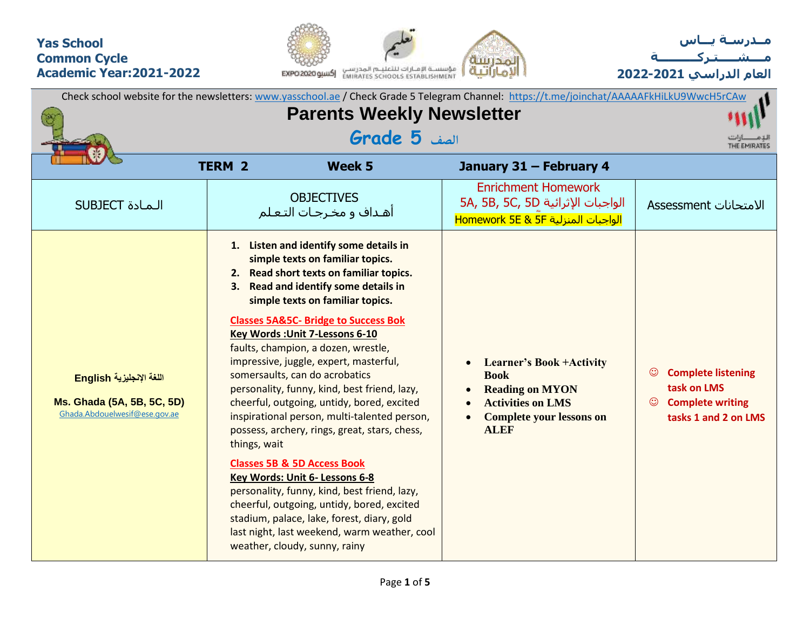## **Yas School Common Cycle Academic Year:2021-2022**





**العام الدراسي 2022-2021**

|                                                                                         | Check school website for the newsletters: www.yasschool.ae / Check Grade 5 Telegram Channel: https://t.me/joinchat/AAAAAFkHiLkU9WwcH5rCAw<br><b>Parents Weekly Newsletter</b><br>الصف <b>5 Grade</b> |                                                                                                                                                                                                                                                                                                                                                                                                                                                                                                                                                                                                                                                                                                                                                                                                                                                                                                              |                                                                                                                                                        |                                                                                                                   |  |  |  |  |  |  |  |  |
|-----------------------------------------------------------------------------------------|------------------------------------------------------------------------------------------------------------------------------------------------------------------------------------------------------|--------------------------------------------------------------------------------------------------------------------------------------------------------------------------------------------------------------------------------------------------------------------------------------------------------------------------------------------------------------------------------------------------------------------------------------------------------------------------------------------------------------------------------------------------------------------------------------------------------------------------------------------------------------------------------------------------------------------------------------------------------------------------------------------------------------------------------------------------------------------------------------------------------------|--------------------------------------------------------------------------------------------------------------------------------------------------------|-------------------------------------------------------------------------------------------------------------------|--|--|--|--|--|--|--|--|
|                                                                                         |                                                                                                                                                                                                      |                                                                                                                                                                                                                                                                                                                                                                                                                                                                                                                                                                                                                                                                                                                                                                                                                                                                                                              |                                                                                                                                                        | THE EMIRATES                                                                                                      |  |  |  |  |  |  |  |  |
|                                                                                         | <b>TERM 2</b>                                                                                                                                                                                        | <b>Week 5</b>                                                                                                                                                                                                                                                                                                                                                                                                                                                                                                                                                                                                                                                                                                                                                                                                                                                                                                | January 31 - February 4                                                                                                                                |                                                                                                                   |  |  |  |  |  |  |  |  |
| <b>SUBJECT</b> الـمـادة                                                                 |                                                                                                                                                                                                      | <b>OBJECTIVES</b><br>أهـداف و مخـرجـات التـعـلم                                                                                                                                                                                                                                                                                                                                                                                                                                                                                                                                                                                                                                                                                                                                                                                                                                                              | <b>Enrichment Homework</b><br>5A, 5B, 5C, 5D الواجبات الإثرائية<br>الواجبات المنزلية Homework 5E & 5F                                                  | الامتحانات Assessment                                                                                             |  |  |  |  |  |  |  |  |
| اللغة الإنجليزية English<br>Ms. Ghada (5A, 5B, 5C, 5D)<br>Ghada.Abdouelwesif@ese.gov.ae | 1.<br>3.<br>things, wait                                                                                                                                                                             | Listen and identify some details in<br>simple texts on familiar topics.<br>2. Read short texts on familiar topics.<br>Read and identify some details in<br>simple texts on familiar topics.<br><b>Classes 5A&amp;5C- Bridge to Success Bok</b><br>Key Words : Unit 7-Lessons 6-10<br>faults, champion, a dozen, wrestle,<br>impressive, juggle, expert, masterful,<br>somersaults, can do acrobatics<br>personality, funny, kind, best friend, lazy,<br>cheerful, outgoing, untidy, bored, excited<br>inspirational person, multi-talented person,<br>possess, archery, rings, great, stars, chess,<br><b>Classes 5B &amp; 5D Access Book</b><br>Key Words: Unit 6- Lessons 6-8<br>personality, funny, kind, best friend, lazy,<br>cheerful, outgoing, untidy, bored, excited<br>stadium, palace, lake, forest, diary, gold<br>last night, last weekend, warm weather, cool<br>weather, cloudy, sunny, rainy | <b>Learner's Book +Activity</b><br><b>Book</b><br><b>Reading on MYON</b><br><b>Activities on LMS</b><br><b>Complete your lessons on</b><br><b>ALEF</b> | $\odot$<br><b>Complete listening</b><br>task on LMS<br><b>Complete writing</b><br>$\odot$<br>tasks 1 and 2 on LMS |  |  |  |  |  |  |  |  |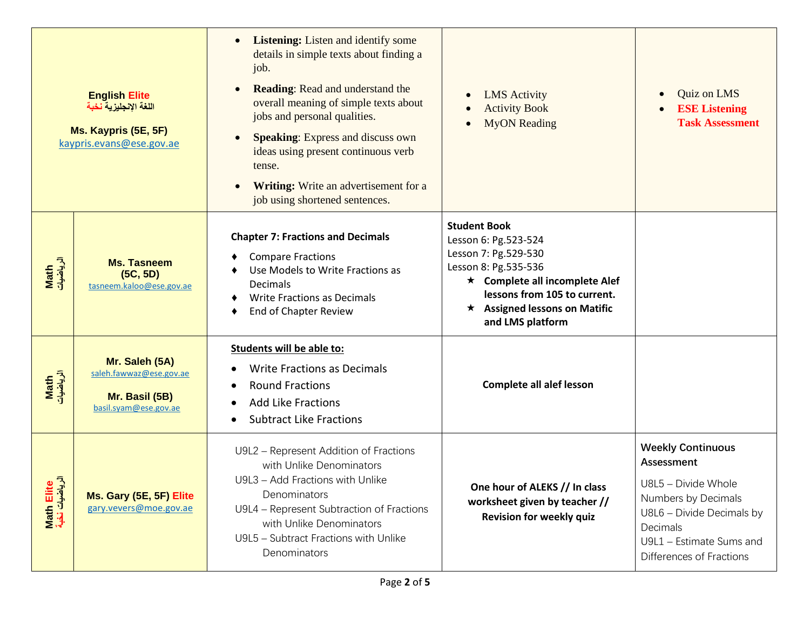|                                             | <b>English Elite</b><br>اللغة الإنجليزية نخبة<br>Ms. Kaypris (5E, 5F)<br>kaypris.evans@ese.gov.ae | <b>Listening:</b> Listen and identify some<br>details in simple texts about finding a<br>job.<br><b>Reading:</b> Read and understand the<br>overall meaning of simple texts about<br>jobs and personal qualities.<br><b>Speaking:</b> Express and discuss own<br>ideas using present continuous verb<br>tense.<br>Writing: Write an advertisement for a<br>job using shortened sentences. | <b>LMS</b> Activity<br><b>Activity Book</b><br><b>MyON</b> Reading                                                                                                                                                       | Quiz on LMS<br>$\bullet$<br><b>ESE Listening</b><br><b>Task Assessment</b>                                                                                                                      |  |  |  |  |
|---------------------------------------------|---------------------------------------------------------------------------------------------------|-------------------------------------------------------------------------------------------------------------------------------------------------------------------------------------------------------------------------------------------------------------------------------------------------------------------------------------------------------------------------------------------|--------------------------------------------------------------------------------------------------------------------------------------------------------------------------------------------------------------------------|-------------------------------------------------------------------------------------------------------------------------------------------------------------------------------------------------|--|--|--|--|
| Math<br>الرياضيات                           | <b>Ms. Tasneem</b><br>(5C, 5D)<br>tasneem.kaloo@ese.gov.ae                                        | <b>Chapter 7: Fractions and Decimals</b><br><b>Compare Fractions</b><br>Use Models to Write Fractions as<br><b>Decimals</b><br><b>Write Fractions as Decimals</b><br>End of Chapter Review                                                                                                                                                                                                | <b>Student Book</b><br>Lesson 6: Pg.523-524<br>Lesson 7: Pg.529-530<br>Lesson 8: Pg.535-536<br>★ Complete all incomplete Alef<br>lessons from 105 to current.<br>$\star$ Assigned lessons on Matific<br>and LMS platform |                                                                                                                                                                                                 |  |  |  |  |
| Math<br>الرياضيات                           | Mr. Saleh (5A)<br>saleh.fawwaz@ese.gov.ae<br>Mr. Basil (5B)<br>basil.syam@ese.gov.ae              | <b>Students will be able to:</b><br><b>Write Fractions as Decimals</b><br><b>Round Fractions</b><br><b>Add Like Fractions</b><br><b>Subtract Like Fractions</b>                                                                                                                                                                                                                           | <b>Complete all alef lesson</b>                                                                                                                                                                                          |                                                                                                                                                                                                 |  |  |  |  |
| Math Elite<br>الرياضيات ن <mark>خب</mark> ة | Ms. Gary (5E, 5F) Elite<br>gary.vevers@moe.gov.ae                                                 | U9L2 - Represent Addition of Fractions<br>with Unlike Denominators<br>U9L3 - Add Fractions with Unlike<br>Denominators<br>U9L4 - Represent Subtraction of Fractions<br>with Unlike Denominators<br>U9L5 - Subtract Fractions with Unlike<br>Denominators                                                                                                                                  | One hour of ALEKS // In class<br>worksheet given by teacher //<br>Revision for weekly quiz                                                                                                                               | <b>Weekly Continuous</b><br><b>Assessment</b><br>$UBI_5 - Divide$ Whole<br>Numbers by Decimals<br>U8L6 - Divide Decimals by<br>Decimals<br>U9L1 - Estimate Sums and<br>Differences of Fractions |  |  |  |  |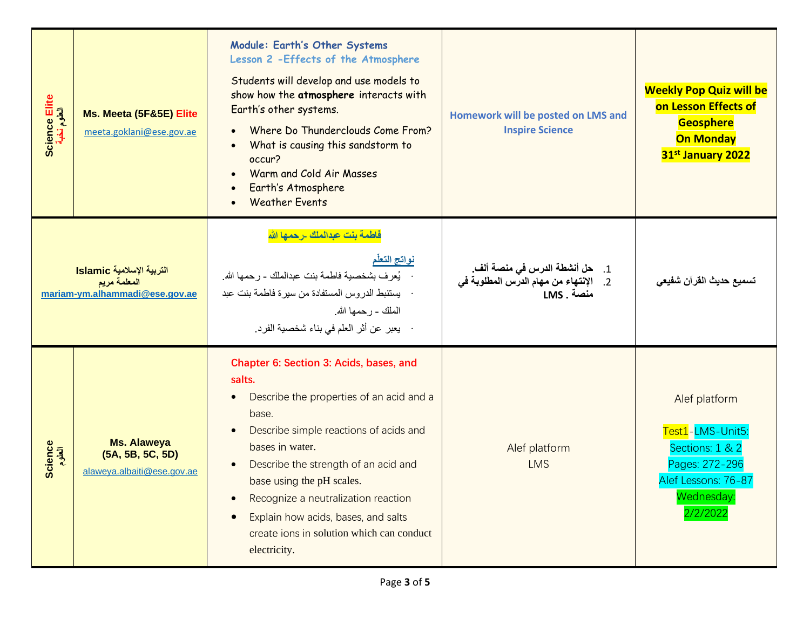| Science Elite<br>العلوم نخبة | Ms. Meeta (5F&5E) Elite<br>meeta.goklani@ese.gov.ae                         | Module: Earth's Other Systems<br>Lesson 2 - Effects of the Atmosphere<br>Students will develop and use models to<br>show how the atmosphere interacts with<br>Earth's other systems.<br>Where Do Thunderclouds Come From?<br>What is causing this sandstorm to<br>occur?<br>Warm and Cold Air Masses<br>Earth's Atmosphere<br><b>Weather Events</b>                                              | Homework will be posted on LMS and<br><b>Inspire Science</b>                                 | <b>Weekly Pop Quiz will be</b><br>on Lesson Effects of<br><b>Geosphere</b><br><b>On Monday</b><br>31 <sup>st</sup> January 2022 |  |  |  |  |
|------------------------------|-----------------------------------------------------------------------------|--------------------------------------------------------------------------------------------------------------------------------------------------------------------------------------------------------------------------------------------------------------------------------------------------------------------------------------------------------------------------------------------------|----------------------------------------------------------------------------------------------|---------------------------------------------------------------------------------------------------------------------------------|--|--|--|--|
|                              | التربية الإسلامية Islamic<br>المعلمة مريم<br>mariam-ym.alhammadi@ese.gov.ae | فاطمة بنت عبدالملك -رحمها الله<br>نواتج التعلّم<br>·     يُعرف بشخصية فاطمة بنت عبدالملك - رحمها الله.<br>·    بستنبط الدروس المستفادة من سيرة فاطمة بنت عبد<br>الملك - رحمها الله.<br>·    بعبر  عن أثر  العلم في بناء شخصية الفرد.                                                                                                                                                             | 1.     حل أنشطة الدرس في منصة ألف.<br>2.    الإنتهاء من مهام الدرس المطلوبة في<br>منصة . LMS | تسميع حديث القر آن شفيعي                                                                                                        |  |  |  |  |
| Science<br>العلوم            | <b>Ms. Alaweya</b><br>(5A, 5B, 5C, 5D)<br>alaweya.albaiti@ese.gov.ae        | Chapter 6: Section 3: Acids, bases, and<br>salts.<br>Describe the properties of an acid and a<br>$\bullet$<br>base.<br>Describe simple reactions of acids and<br>bases in water.<br>Describe the strength of an acid and<br>base using the pH scales.<br>Recognize a neutralization reaction<br>Explain how acids, bases, and salts<br>create ions in solution which can conduct<br>electricity. | Alef platform<br><b>LMS</b>                                                                  | Alef platform<br>Test1-LMS-Unit5:<br>Sections: 1 & 2<br>Pages: 272-296<br>Alef Lessons: 76-87<br>Wednesday<br>2/2/202           |  |  |  |  |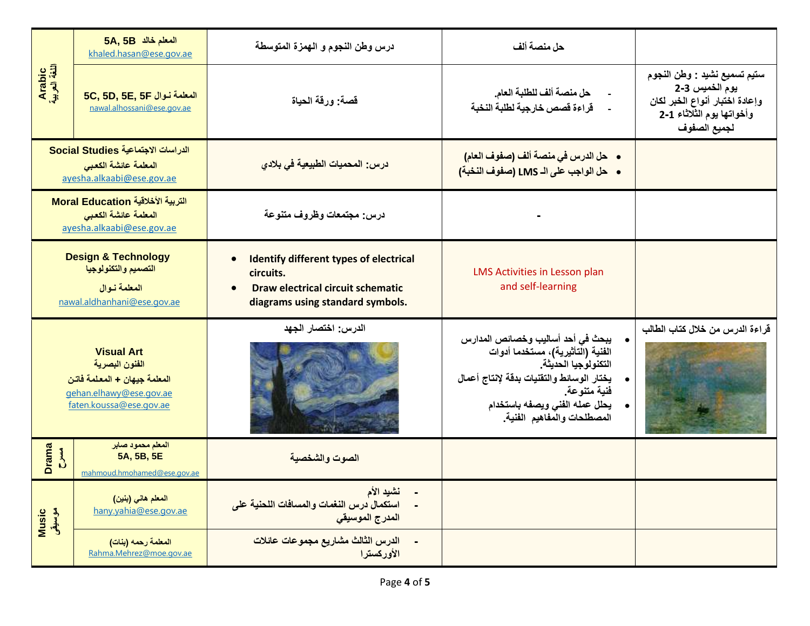|                                  | 5A, 5B المعلم خالد<br>khaled.hasan@ese.gov.ae                                                                             | درس وطن النجوم و الهمزة المتوسطة                                                                                                                        | حل منصة ألف                                                                                                                                                                                                                |                                                                                                                               |  |  |  |  |
|----------------------------------|---------------------------------------------------------------------------------------------------------------------------|---------------------------------------------------------------------------------------------------------------------------------------------------------|----------------------------------------------------------------------------------------------------------------------------------------------------------------------------------------------------------------------------|-------------------------------------------------------------------------------------------------------------------------------|--|--|--|--|
| Arabic<br>اللغة العربية          | 5C, 5D, 5E, 5F المعلمة نوال<br>nawal.alhossani@ese.gov.ae                                                                 | قصة: ورقة الحياة                                                                                                                                        | حل منصة ألف للطلبة العام.<br>قراءة قصص خارجية لطلبة النخبة                                                                                                                                                                 | ستيم تسميع نشيد : وطن النجوم<br>يوم الخميس 3-2<br>وإعادة اختبار أنواع الخبر لكان<br>وأخواتها يوم الثلاثاء 1-2<br>لجميع الصفوف |  |  |  |  |
|                                  | الدراسات الاجتماعية Social Studies<br>المعلمة عائشة الكعبى<br>ayesha.alkaabi@ese.gov.ae                                   | درس: المحميات الطبيعية في بلادي                                                                                                                         | •    حل الدرس في منصة ألف (صفوف العام)<br>•    حل الواجب على الـ LMS (صفوف النخبة)                                                                                                                                         |                                                                                                                               |  |  |  |  |
|                                  | التربية الأخلاقية Moral Education<br>المعلمة عائشة الكعبى<br>ayesha.alkaabi@ese.gov.ae                                    | درس: مجتمعات وظروف متنوعة                                                                                                                               |                                                                                                                                                                                                                            |                                                                                                                               |  |  |  |  |
|                                  | <b>Design &amp; Technology</b><br>التصميم والتكنولوجيا<br>المعلمة نوال<br>nawal.aldhanhani@ese.gov.ae                     | <b>Identify different types of electrical</b><br>circuits.<br><b>Draw electrical circuit schematic</b><br>$\bullet$<br>diagrams using standard symbols. | LMS Activities in Lesson plan<br>and self-learning                                                                                                                                                                         |                                                                                                                               |  |  |  |  |
|                                  | <b>Visual Art</b><br>الفنون البصرية<br>المعلمة جيهان + المعلمة فاتن<br>gehan.elhawy@ese.gov.ae<br>faten.koussa@ese.gov.ae | الدرس: اختصار الجهد                                                                                                                                     | يبحث في أحد أساليب وخصائص المدارس<br>الفنية (التأثيرية)، مستخدما أدوات<br>التكنولوجيا الحديثة<br>يختار الوسائط والتقنيات بدقة لإنتاج أعمال<br>فنية متنوعة.<br>يحلل عمله الفنى ويصفه باستخدام<br>المصطلحات والمفاهيم الفنية | قراءة الدرس من خلال كتاب الطالب                                                                                               |  |  |  |  |
| <b>Drama</b><br>$\sum_{i=1}^{n}$ | المعلم محمود صابر<br>5A, 5B, 5E<br>mahmoud.hmohamed@ese.gov.ae                                                            | الصوت والشخصية                                                                                                                                          |                                                                                                                                                                                                                            |                                                                                                                               |  |  |  |  |
| Music<br>موسیقی                  | المعلم هاني (بنين)<br>hany.yahia@ese.gov.ae                                                                               | نشيد الأم<br>استكمال درس النغمات والمسافات اللحنية على<br>المدرج الموسيقي                                                                               |                                                                                                                                                                                                                            |                                                                                                                               |  |  |  |  |
|                                  | المعلمة رحمه (بنات)<br>Rahma.Mehrez@moe.gov.ae                                                                            | الدرس الثالث مشاريع مجموعات عائلات<br>الأوركسترا                                                                                                        |                                                                                                                                                                                                                            |                                                                                                                               |  |  |  |  |